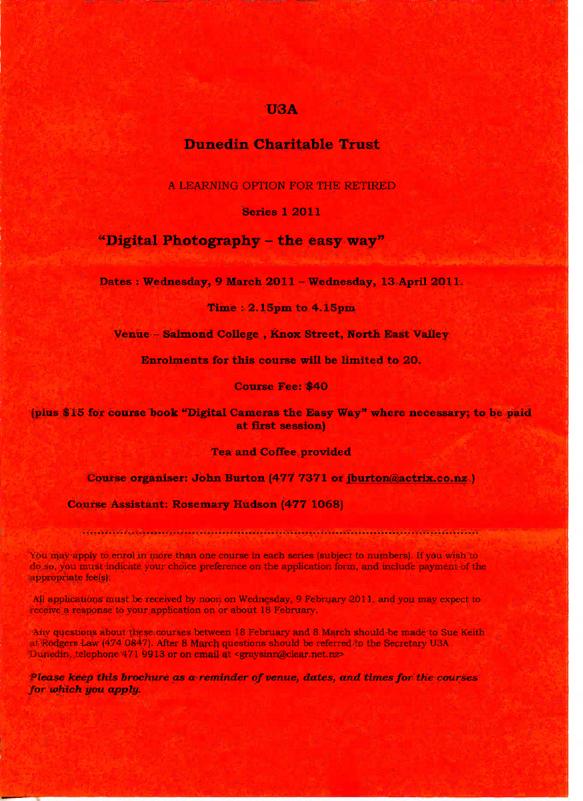### **USA**

# **Dunedin Charitable Trust**

A LEARNING OPTION FOR THE RETIRED

Series 1 2O11

# **"Digital Photography - the easy way"**

**Dates : Wednesday, 9 March 2O11 - Wednesday, 13 April 2011.**

**Time : 2.15pm to 4.15pm**

**Venue - Salmond College , Knox Street, North East Valley**

**Enrolments for this course will be limited to 2O.**

**Course Fee: \$4O**

**(plus \$15 for course book "Digital Cameras the Easy Way" where necessary; to be paid at first session)**

**Tea and Coffee provided**

**Course organiser: John Burton (477 7371 or jburtonfa^ctrix.co.nz )**

**Course Assistant: Rosemary Hudson (477 1068)**

You may apply to enrol in more than one course in each series (subject to numbers). If you wish to do so, you must indicate your choice preference on the application form, and include payment of the appropriate fee(s).

All applications must be received by noon on Wednesday, 9 February 2011, and you may expect to receive a response to your application on or about 18 February.

Any questions about these courses between 18 February and 8 March should be made to Sue Keith at Rodgers Law (474 0847). After 8 March questions should be referred to the Secretary U3A Dunedin, telephone 471 9913 or on email at <graysinn@clear.net.nz>

*Please keep this brochure as a reminder of venue, dates, and times for the courses for which you apply.*